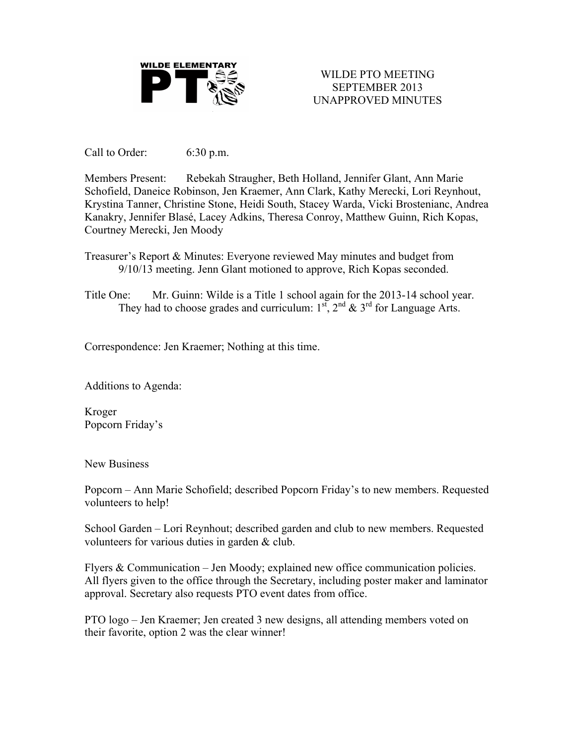

WILDE PTO MEETING SEPTEMBER 2013 UNAPPROVED MINUTES

Call to Order: 6:30 p.m.

Members Present: Rebekah Straugher, Beth Holland, Jennifer Glant, Ann Marie Schofield, Daneice Robinson, Jen Kraemer, Ann Clark, Kathy Merecki, Lori Reynhout, Krystina Tanner, Christine Stone, Heidi South, Stacey Warda, Vicki Brostenianc, Andrea Kanakry, Jennifer Blasé, Lacey Adkins, Theresa Conroy, Matthew Guinn, Rich Kopas, Courtney Merecki, Jen Moody

Treasurer's Report & Minutes: Everyone reviewed May minutes and budget from 9/10/13 meeting. Jenn Glant motioned to approve, Rich Kopas seconded.

Title One: Mr. Guinn: Wilde is a Title 1 school again for the 2013-14 school year. They had to choose grades and curriculum:  $1^{st}$ ,  $2^{nd}$  &  $3^{rd}$  for Language Arts.

Correspondence: Jen Kraemer; Nothing at this time.

Additions to Agenda:

Kroger Popcorn Friday's

New Business

Popcorn – Ann Marie Schofield; described Popcorn Friday's to new members. Requested volunteers to help!

School Garden – Lori Reynhout; described garden and club to new members. Requested volunteers for various duties in garden & club.

Flyers & Communication – Jen Moody; explained new office communication policies. All flyers given to the office through the Secretary, including poster maker and laminator approval. Secretary also requests PTO event dates from office.

PTO logo – Jen Kraemer; Jen created 3 new designs, all attending members voted on their favorite, option 2 was the clear winner!